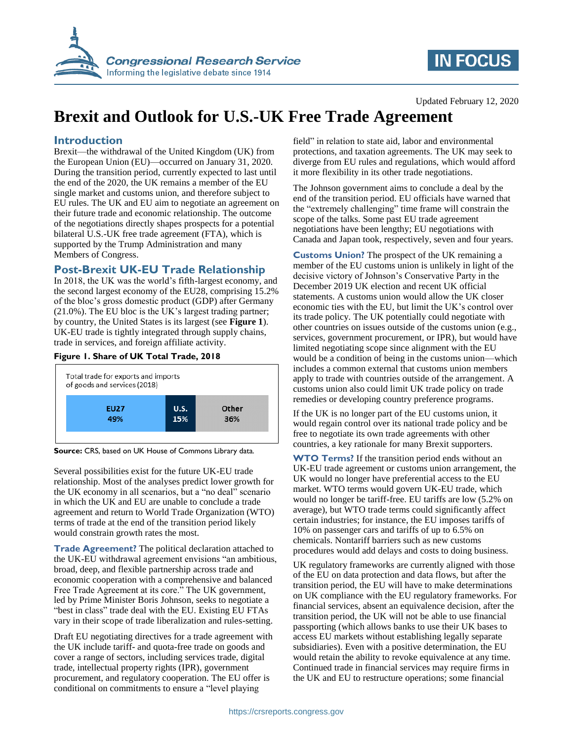

# **IN FOCUS**

#### Updated February 12, 2020

# **Brexit and Outlook for U.S.-UK Free Trade Agreement**

### **Introduction**

Brexit—the withdrawal of the United Kingdom (UK) from the European Union (EU)—occurred on January 31, 2020. During the transition period, currently expected to last until the end of the 2020, the UK remains a member of the EU single market and customs union, and therefore subject to EU rules. The UK and EU aim to negotiate an agreement on their future trade and economic relationship. The outcome of the negotiations directly shapes prospects for a potential bilateral U.S.-UK free trade agreement (FTA), which is supported by the Trump Administration and many Members of Congress.

### **Post-Brexit UK-EU Trade Relationship**

In 2018, the UK was the world's fifth-largest economy, and the second largest economy of the EU28, comprising 15.2% of the bloc's gross domestic product (GDP) after Germany (21.0%). The EU bloc is the UK's largest trading partner; by country, the United States is its largest (see **Figure 1**). UK-EU trade is tightly integrated through supply chains, trade in services, and foreign affiliate activity.

#### **Figure 1. Share of UK Total Trade, 2018**



**Source:** CRS, based on UK House of Commons Library data.

Several possibilities exist for the future UK-EU trade relationship. Most of the analyses predict lower growth for the UK economy in all scenarios, but a "no deal" scenario in which the UK and EU are unable to conclude a trade agreement and return to World Trade Organization (WTO) terms of trade at the end of the transition period likely would constrain growth rates the most.

**Trade Agreement?** The political declaration attached to the UK-EU withdrawal agreement envisions "an ambitious, broad, deep, and flexible partnership across trade and economic cooperation with a comprehensive and balanced Free Trade Agreement at its core." The UK government, led by Prime Minister Boris Johnson, seeks to negotiate a "best in class" trade deal with the EU. Existing EU FTAs vary in their scope of trade liberalization and rules-setting.

Draft EU negotiating directives for a trade agreement with the UK include tariff- and quota-free trade on goods and cover a range of sectors, including services trade, digital trade, intellectual property rights (IPR), government procurement, and regulatory cooperation. The EU offer is conditional on commitments to ensure a "level playing

field" in relation to state aid, labor and environmental protections, and taxation agreements. The UK may seek to diverge from EU rules and regulations, which would afford it more flexibility in its other trade negotiations.

The Johnson government aims to conclude a deal by the end of the transition period. EU officials have warned that the "extremely challenging" time frame will constrain the scope of the talks. Some past EU trade agreement negotiations have been lengthy; EU negotiations with Canada and Japan took, respectively, seven and four years.

**Customs Union?** The prospect of the UK remaining a member of the EU customs union is unlikely in light of the decisive victory of Johnson's Conservative Party in the December 2019 UK election and recent UK official statements. A customs union would allow the UK closer economic ties with the EU, but limit the UK's control over its trade policy. The UK potentially could negotiate with other countries on issues outside of the customs union (e.g., services, government procurement, or IPR), but would have limited negotiating scope since alignment with the EU would be a condition of being in the customs union—which includes a common external that customs union members apply to trade with countries outside of the arrangement. A customs union also could limit UK trade policy on trade remedies or developing country preference programs.

If the UK is no longer part of the EU customs union, it would regain control over its national trade policy and be free to negotiate its own trade agreements with other countries, a key rationale for many Brexit supporters.

**WTO Terms?** If the transition period ends without an UK-EU trade agreement or customs union arrangement, the UK would no longer have preferential access to the EU market. WTO terms would govern UK-EU trade, which would no longer be tariff-free. EU tariffs are low (5.2% on average), but WTO trade terms could significantly affect certain industries; for instance, the EU imposes tariffs of 10% on passenger cars and tariffs of up to 6.5% on chemicals. Nontariff barriers such as new customs procedures would add delays and costs to doing business.

UK regulatory frameworks are currently aligned with those of the EU on data protection and data flows, but after the transition period, the EU will have to make determinations on UK compliance with the EU regulatory frameworks. For financial services, absent an equivalence decision, after the transition period, the UK will not be able to use financial passporting (which allows banks to use their UK bases to access EU markets without establishing legally separate subsidiaries). Even with a positive determination, the EU would retain the ability to revoke equivalence at any time. Continued trade in financial services may require firms in the UK and EU to restructure operations; some financial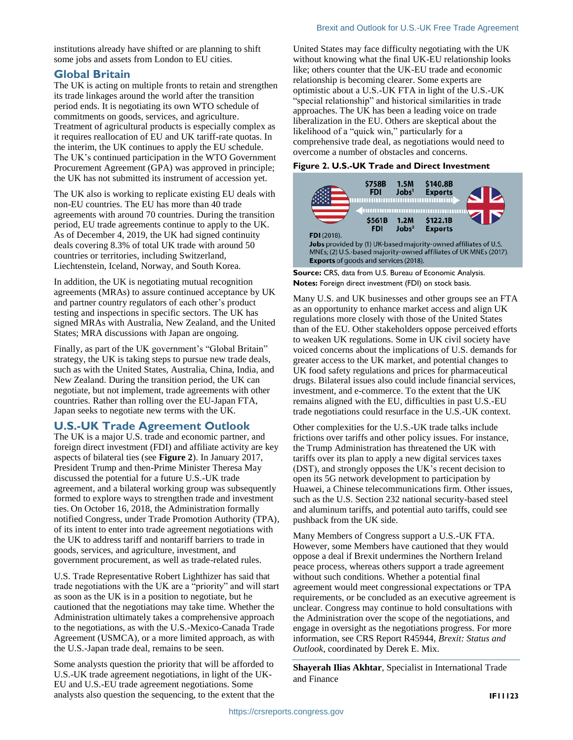institutions already have shifted or are planning to shift some jobs and assets from London to EU cities.

### **Global Britain**

The UK is acting on multiple fronts to retain and strengthen its trade linkages around the world after the transition period ends. It is negotiating its own WTO schedule of commitments on goods, services, and agriculture. Treatment of agricultural products is especially complex as it requires reallocation of EU and UK tariff-rate quotas. In the interim, the UK continues to apply the EU schedule. The UK's continued participation in the WTO Government Procurement Agreement (GPA) was approved in principle; the UK has not submitted its instrument of accession yet.

The UK also is working to replicate existing EU deals with non-EU countries. The EU has more than 40 trade agreements with around 70 countries. During the transition period, EU trade agreements continue to apply to the UK. As of December 4, 2019, the UK had signed continuity deals covering 8.3% of total UK trade with around 50 countries or territories, including Switzerland, Liechtenstein, Iceland, Norway, and South Korea.

In addition, the UK is negotiating mutual recognition agreements (MRAs) to assure continued acceptance by UK and partner country regulators of each other's product testing and inspections in specific sectors. The UK has signed MRAs with Australia, New Zealand, and the United States; MRA discussions with Japan are ongoing.

Finally, as part of the UK government's "Global Britain" strategy, the UK is taking steps to pursue new trade deals, such as with the United States, Australia, China, India, and New Zealand. During the transition period, the UK can negotiate, but not implement, trade agreements with other countries. Rather than rolling over the EU-Japan FTA, Japan seeks to negotiate new terms with the UK.

## **U.S.-UK Trade Agreement Outlook**

The UK is a major U.S. trade and economic partner, and foreign direct investment (FDI) and affiliate activity are key aspects of bilateral ties (see **Figure 2**). In January 2017, President Trump and then-Prime Minister Theresa May discussed the potential for a future U.S.-UK trade agreement, and a bilateral working group was subsequently formed to explore ways to strengthen trade and investment ties. On October 16, 2018, the Administration formally notified Congress, under Trade Promotion Authority (TPA), of its intent to enter into trade agreement negotiations with the UK to address tariff and nontariff barriers to trade in goods, services, and agriculture, investment, and government procurement, as well as trade-related rules.

U.S. Trade Representative Robert Lighthizer has said that trade negotiations with the UK are a "priority" and will start as soon as the UK is in a position to negotiate, but he cautioned that the negotiations may take time. Whether the Administration ultimately takes a comprehensive approach to the negotiations, as with the U.S.-Mexico-Canada Trade Agreement (USMCA), or a more limited approach, as with the U.S.-Japan trade deal, remains to be seen.

Some analysts question the priority that will be afforded to U.S.-UK trade agreement negotiations, in light of the UK-EU and U.S.-EU trade agreement negotiations. Some analysts also question the sequencing, to the extent that the

United States may face difficulty negotiating with the UK without knowing what the final UK-EU relationship looks like; others counter that the UK-EU trade and economic relationship is becoming clearer. Some experts are optimistic about a U.S.-UK FTA in light of the U.S.-UK "special relationship" and historical similarities in trade approaches. The UK has been a leading voice on trade liberalization in the EU. Others are skeptical about the likelihood of a "quick win," particularly for a comprehensive trade deal, as negotiations would need to overcome a number of obstacles and concerns.

#### **Figure 2. U.S.-UK Trade and Direct Investment**



**Source:** CRS, data from U.S. Bureau of Economic Analysis. **Notes:** Foreign direct investment (FDI) on stock basis.

Many U.S. and UK businesses and other groups see an FTA as an opportunity to enhance market access and align UK regulations more closely with those of the United States than of the EU. Other stakeholders oppose perceived efforts to weaken UK regulations. Some in UK civil society have voiced concerns about the implications of U.S. demands for greater access to the UK market, and potential changes to UK food safety regulations and prices for pharmaceutical drugs. Bilateral issues also could include financial services, investment, and e-commerce. To the extent that the UK remains aligned with the EU, difficulties in past U.S.-EU trade negotiations could resurface in the U.S.-UK context.

Other complexities for the U.S.-UK trade talks include frictions over tariffs and other policy issues. For instance, the Trump Administration has threatened the UK with tariffs over its plan to apply a new digital services taxes (DST), and strongly opposes the UK's recent decision to open its 5G network development to participation by Huawei, a Chinese telecommunications firm. Other issues, such as the U.S. Section 232 national security-based steel and aluminum tariffs, and potential auto tariffs, could see pushback from the UK side.

Many Members of Congress support a U.S.-UK FTA. However, some Members have cautioned that they would oppose a deal if Brexit undermines the Northern Ireland peace process, whereas others support a trade agreement without such conditions. Whether a potential final agreement would meet congressional expectations or TPA requirements, or be concluded as an executive agreement is unclear. Congress may continue to hold consultations with the Administration over the scope of the negotiations, and engage in oversight as the negotiations progress. For more information, see CRS Report R45944, *Brexit: Status and Outlook*, coordinated by Derek E. Mix.

**Shayerah Ilias Akhtar**, Specialist in International Trade and Finance